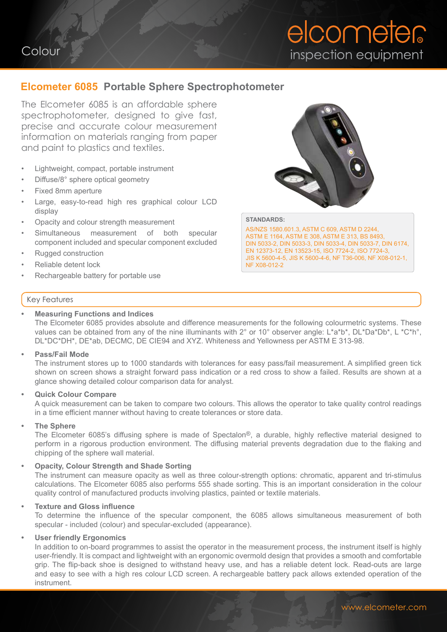# elcometer inspection equipment

### **Elcometer 6085 Portable Sphere Spectrophotometer**

The Elcometer 6085 is an affordable sphere spectrophotometer, designed to give fast, precise and accurate colour measurement information on materials ranging from paper and paint to plastics and textiles.

- Lightweight, compact, portable instrument
- Diffuse/8° sphere optical geometry
- Fixed 8mm aperture
- Large, easy-to-read high res graphical colour LCD display
- Opacity and colour strength measurement
- Simultaneous measurement of both specular component included and specular component excluded
- Rugged construction
- Reliable detent lock
- Rechargeable battery for portable use

#### Key Features

#### **• Measuring Functions and Indices**

The Elcometer 6085 provides absolute and difference measurements for the following colourmetric systems. These values can be obtained from any of the nine illuminants with 2° or 10° observer angle: L\*a\*b\*, DL\*Da\*Db\*, L \*C\*h°, DL\*DC\*DH\*, DE\*ab, DECMC, DE CIE94 and XYZ. Whiteness and Yellowness per ASTM E 313-98.

#### **• Pass/Fail Mode**

The instrument stores up to 1000 standards with tolerances for easy pass/fail measurement. A simplified green tick shown on screen shows a straight forward pass indication or a red cross to show a failed. Results are shown at a glance showing detailed colour comparison data for analyst.

#### **• Quick Colour Compare**

A quick measurement can be taken to compare two colours. This allows the operator to take quality control readings in a time efficient manner without having to create tolerances or store data.

#### **• The Sphere**

The Elcometer 6085's diffusing sphere is made of Spectalon®, a durable, highly reflective material designed to perform in a rigorous production environment. The diffusing material prevents degradation due to the flaking and chipping of the sphere wall material.

#### **• Opacity, Colour Strength and Shade Sorting**

The instrument can measure opacity as well as three colour-strength options: chromatic, apparent and tri-stimulus calculations. The Elcometer 6085 also performs 555 shade sorting. This is an important consideration in the colour quality control of manufactured products involving plastics, painted or textile materials.

#### **• Texture and Gloss influence**

To determine the influence of the specular component, the 6085 allows simultaneous measurement of both specular - included (colour) and specular-excluded (appearance).

#### **• User friendly Ergonomics**

In addition to on-board programmes to assist the operator in the measurement process, the instrument itself is highly user-friendly. It is compact and lightweight with an ergonomic overmold design that provides a smooth and comfortable grip. The flip-back shoe is designed to withstand heavy use, and has a reliable detent lock. Read-outs are large and easy to see with a high res colour LCD screen. A rechargeable battery pack allows extended operation of the instrument.





#### **STANDARDS:**

AS/NZS 1580.601.3, ASTM C 609, ASTM D 2244, ASTM E 1164, ASTM E 308, ASTM E 313, BS 8493, DIN 5033-2, DIN 5033-3, DIN 5033-4, DIN 5033-7, DIN 6174, EN 12373-12, EN 13523-15, ISO 7724-2, ISO 7724-3, JIS K 5600-4-5, JIS K 5600-4-6, NF T36-006, NF X08-012-1, NF X08-012-2

# Colour